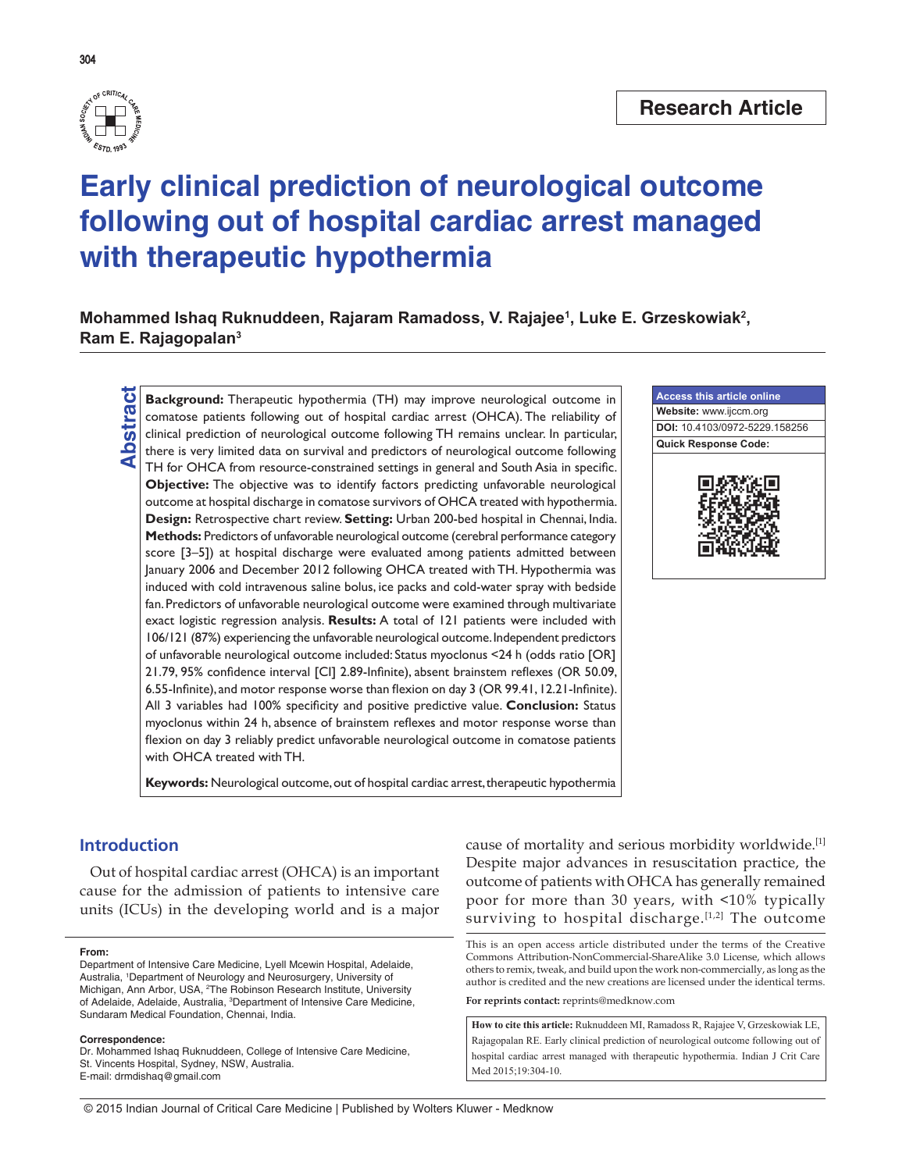

304

# **Early clinical prediction of neurological outcome following out of hospital cardiac arrest managed with therapeutic hypothermia**

Mohammed Ishaq Ruknuddeen, Rajaram Ramadoss, V. Rajajee<sup>1</sup>, Luke E. Grzeskowiak<sup>2</sup>, **Ram E. Rajagopalan3**

**Background:** Therapeutic hypothermia (TH) may improve neurological outcome in comatose patients following out of hospital cardiac arrest (OHCA). The reliability of clinical prediction of neurological outcome following TH comatose patients following out of hospital cardiac arrest (OHCA). The reliability of clinical prediction of neurological outcome following TH remains unclear. In particular, there is very limited data on survival and predictors of neurological outcome following TH for OHCA from resource-constrained settings in general and South Asia in specific. **Objective:** The objective was to identify factors predicting unfavorable neurological outcome at hospital discharge in comatose survivors of OHCA treated with hypothermia. **Design:** Retrospective chart review. **Setting:** Urban 200-bed hospital in Chennai, India. **Methods:** Predictors of unfavorable neurological outcome (cerebral performance category score [3–5]) at hospital discharge were evaluated among patients admitted between January 2006 and December 2012 following OHCA treated with TH. Hypothermia was induced with cold intravenous saline bolus, ice packs and cold-water spray with bedside fan. Predictors of unfavorable neurological outcome were examined through multivariate exact logistic regression analysis. **Results:** A total of 121 patients were included with 106/121 (87%) experiencing the unfavorable neurological outcome. Independent predictors of unfavorable neurological outcome included: Status myoclonus <24 h (odds ratio [OR] 21.79, 95% confidence interval [CI] 2.89-Infinite), absent brainstem reflexes (OR 50.09, 6.55-Infinite), and motor response worse than flexion on day 3 (OR 99.41, 12.21-Infinite). All 3 variables had 100% specificity and positive predictive value. **Conclusion:** Status myoclonus within 24 h, absence of brainstem reflexes and motor response worse than flexion on day 3 reliably predict unfavorable neurological outcome in comatose patients with OHCA treated with TH.

**Keywords:** Neurological outcome, out of hospital cardiac arrest, therapeutic hypothermia

# **Introduction**

Out of hospital cardiac arrest (OHCA) is an important cause for the admission of patients to intensive care units (ICUs) in the developing world and is a major

#### **From:**

#### **Correspondence:**

Dr. Mohammed Ishaq Ruknuddeen, College of Intensive Care Medicine, St. Vincents Hospital, Sydney, NSW, Australia. E-mail: drmdishaq@gmail.com

cause of mortality and serious morbidity worldwide.[1] Despite major advances in resuscitation practice, the outcome of patients with OHCA has generally remained poor for more than 30 years, with <10% typically surviving to hospital discharge.<sup>[1,2]</sup> The outcome

This is an open access article distributed under the terms of the Creative Commons Attribution-NonCommercial-ShareAlike 3.0 License, which allows others to remix, tweak, and build upon the work non-commercially, as long as the author is credited and the new creations are licensed under the identical terms.

**For reprints contact:** reprints@medknow.com

**How to cite this article:** Ruknuddeen MI, Ramadoss R, Rajajee V, Grzeskowiak LE, Rajagopalan RE. Early clinical prediction of neurological outcome following out of hospital cardiac arrest managed with therapeutic hypothermia. Indian J Crit Care Med 2015;19:304-10.



Department of Intensive Care Medicine, Lyell Mcewin Hospital, Adelaide, Australia, 1 Department of Neurology and Neurosurgery, University of Michigan, Ann Arbor, USA, <sup>2</sup>The Robinson Research Institute, University of Adelaide, Adelaide, Australia, <sup>3</sup>Department of Intensive Care Medicine, Sundaram Medical Foundation, Chennai, India.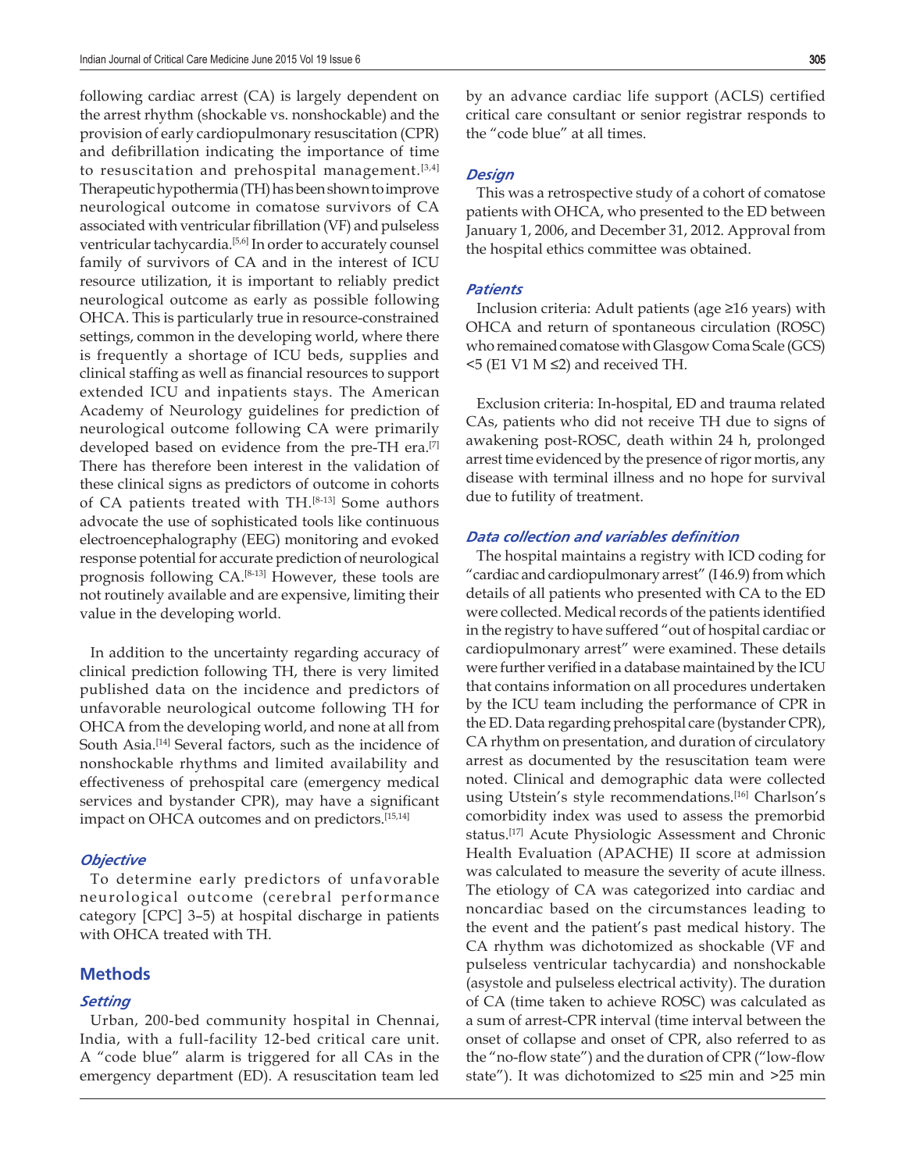following cardiac arrest (CA) is largely dependent on the arrest rhythm (shockable vs. nonshockable) and the provision of early cardiopulmonary resuscitation (CPR) and defibrillation indicating the importance of time to resuscitation and prehospital management. $[3,4]$ Therapeutic hypothermia (TH) has been shown to improve neurological outcome in comatose survivors of CA associated with ventricular fibrillation (VF) and pulseless ventricular tachycardia.<sup>[5,6]</sup> In order to accurately counsel family of survivors of CA and in the interest of ICU resource utilization, it is important to reliably predict neurological outcome as early as possible following OHCA. This is particularly true in resource-constrained settings, common in the developing world, where there is frequently a shortage of ICU beds, supplies and clinical staffing as well as financial resources to support extended ICU and inpatients stays. The American Academy of Neurology guidelines for prediction of neurological outcome following CA were primarily developed based on evidence from the pre-TH era.<sup>[7]</sup> There has therefore been interest in the validation of these clinical signs as predictors of outcome in cohorts of CA patients treated with TH.[8-13] Some authors advocate the use of sophisticated tools like continuous electroencephalography (EEG) monitoring and evoked response potential for accurate prediction of neurological prognosis following CA.[8-13] However, these tools are not routinely available and are expensive, limiting their value in the developing world.

In addition to the uncertainty regarding accuracy of clinical prediction following TH, there is very limited published data on the incidence and predictors of unfavorable neurological outcome following TH for OHCA from the developing world, and none at all from South Asia.[14] Several factors, such as the incidence of nonshockable rhythms and limited availability and effectiveness of prehospital care (emergency medical services and bystander CPR), may have a significant impact on OHCA outcomes and on predictors.<sup>[15,14]</sup>

#### *Objective*

To determine early predictors of unfavorable neurological outcome (cerebral performance category [CPC] 3–5) at hospital discharge in patients with OHCA treated with TH.

## **Methods**

#### *Setting*

Urban, 200-bed community hospital in Chennai, India, with a full-facility 12-bed critical care unit. A "code blue" alarm is triggered for all CAs in the emergency department (ED). A resuscitation team led by an advance cardiac life support (ACLS) certified critical care consultant or senior registrar responds to the "code blue" at all times.

#### *Design*

This was a retrospective study of a cohort of comatose patients with OHCA, who presented to the ED between January 1, 2006, and December 31, 2012. Approval from the hospital ethics committee was obtained.

#### *Patients*

Inclusion criteria: Adult patients (age ≥16 years) with OHCA and return of spontaneous circulation (ROSC) who remained comatose with Glasgow Coma Scale (GCS) <5 (E1 V1 M ≤2) and received TH.

Exclusion criteria: In-hospital, ED and trauma related CAs, patients who did not receive TH due to signs of awakening post-ROSC, death within 24 h, prolonged arrest time evidenced by the presence of rigor mortis, any disease with terminal illness and no hope for survival due to futility of treatment.

#### *Data collection and variables definition*

The hospital maintains a registry with ICD coding for "cardiac and cardiopulmonary arrest" (I 46.9) from which details of all patients who presented with CA to the ED were collected. Medical records of the patients identified in the registry to have suffered "out of hospital cardiac or cardiopulmonary arrest" were examined. These details were further verified in a database maintained by the ICU that contains information on all procedures undertaken by the ICU team including the performance of CPR in the ED. Data regarding prehospital care (bystander CPR), CA rhythm on presentation, and duration of circulatory arrest as documented by the resuscitation team were noted. Clinical and demographic data were collected using Utstein's style recommendations.<sup>[16]</sup> Charlson's comorbidity index was used to assess the premorbid status.[17] Acute Physiologic Assessment and Chronic Health Evaluation (APACHE) II score at admission was calculated to measure the severity of acute illness. The etiology of CA was categorized into cardiac and noncardiac based on the circumstances leading to the event and the patient's past medical history. The CA rhythm was dichotomized as shockable (VF and pulseless ventricular tachycardia) and nonshockable (asystole and pulseless electrical activity). The duration of CA (time taken to achieve ROSC) was calculated as a sum of arrest-CPR interval (time interval between the onset of collapse and onset of CPR, also referred to as the "no-flow state") and the duration of CPR ("low-flow state"). It was dichotomized to ≤25 min and >25 min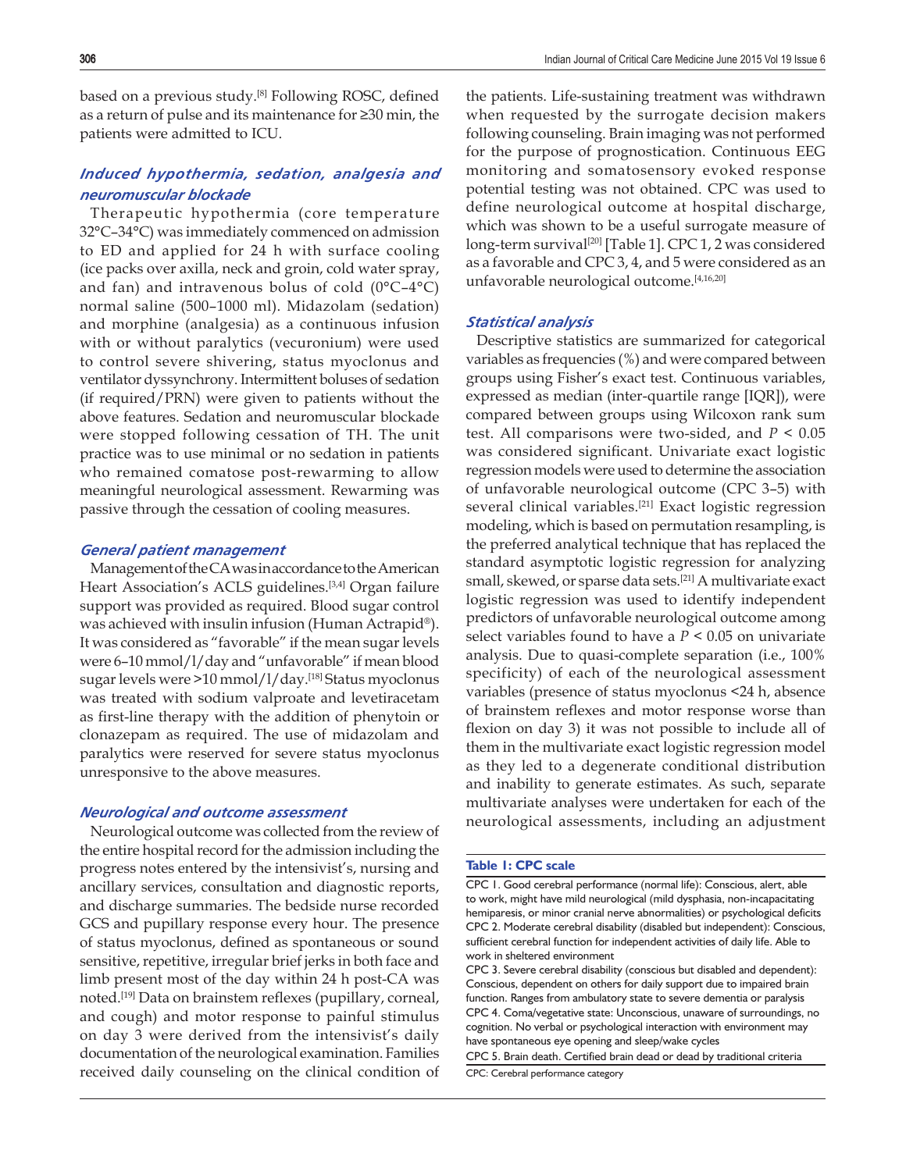based on a previous study.<sup>[8]</sup> Following ROSC, defined as a return of pulse and its maintenance for ≥30 min, the patients were admitted to ICU.

# *Induced hypothermia, sedation, analgesia and neuromuscular blockade*

Therapeutic hypothermia (core temperature 32°C–34°C) was immediately commenced on admission to ED and applied for 24 h with surface cooling (ice packs over axilla, neck and groin, cold water spray, and fan) and intravenous bolus of cold  $(0^{\circ}C - 4^{\circ}C)$ normal saline (500–1000 ml). Midazolam (sedation) and morphine (analgesia) as a continuous infusion with or without paralytics (vecuronium) were used to control severe shivering, status myoclonus and ventilator dyssynchrony. Intermittent boluses of sedation (if required/PRN) were given to patients without the above features. Sedation and neuromuscular blockade were stopped following cessation of TH. The unit practice was to use minimal or no sedation in patients who remained comatose post-rewarming to allow meaningful neurological assessment. Rewarming was passive through the cessation of cooling measures.

#### *General patient management*

Management of the CA was in accordance to the American Heart Association's ACLS guidelines.<sup>[3,4]</sup> Organ failure support was provided as required. Blood sugar control was achieved with insulin infusion (Human Actrapid®). It was considered as "favorable" if the mean sugar levels were 6–10 mmol/l/day and "unfavorable" if mean blood sugar levels were >10 mmol/l/day.[18] Status myoclonus was treated with sodium valproate and levetiracetam as first-line therapy with the addition of phenytoin or clonazepam as required. The use of midazolam and paralytics were reserved for severe status myoclonus unresponsive to the above measures.

# *Neurological and outcome assessment*

Neurological outcome was collected from the review of the entire hospital record for the admission including the progress notes entered by the intensivist's, nursing and ancillary services, consultation and diagnostic reports, and discharge summaries. The bedside nurse recorded GCS and pupillary response every hour. The presence of status myoclonus, defined as spontaneous or sound sensitive, repetitive, irregular brief jerks in both face and limb present most of the day within 24 h post-CA was noted.<sup>[19]</sup> Data on brainstem reflexes (pupillary, corneal, and cough) and motor response to painful stimulus on day 3 were derived from the intensivist's daily documentation of the neurological examination. Families received daily counseling on the clinical condition of

the patients. Life-sustaining treatment was withdrawn when requested by the surrogate decision makers following counseling. Brain imaging was not performed for the purpose of prognostication. Continuous EEG monitoring and somatosensory evoked response potential testing was not obtained. CPC was used to define neurological outcome at hospital discharge, which was shown to be a useful surrogate measure of long-term survival<sup>[20]</sup> [Table 1]. CPC 1, 2 was considered as a favorable and CPC 3, 4, and 5 were considered as an unfavorable neurological outcome.[4,16,20]

#### *Statistical analysis*

Descriptive statistics are summarized for categorical variables as frequencies (%) and were compared between groups using Fisher's exact test. Continuous variables, expressed as median (inter-quartile range [IQR]), were compared between groups using Wilcoxon rank sum test. All comparisons were two-sided, and *P* < 0.05 was considered significant. Univariate exact logistic regression models were used to determine the association of unfavorable neurological outcome (CPC 3–5) with several clinical variables.<sup>[21]</sup> Exact logistic regression modeling, which is based on permutation resampling, is the preferred analytical technique that has replaced the standard asymptotic logistic regression for analyzing small, skewed, or sparse data sets.[21] A multivariate exact logistic regression was used to identify independent predictors of unfavorable neurological outcome among select variables found to have a *P* < 0.05 on univariate analysis. Due to quasi-complete separation (i.e., 100% specificity) of each of the neurological assessment variables (presence of status myoclonus <24 h, absence of brainstem reflexes and motor response worse than flexion on day 3) it was not possible to include all of them in the multivariate exact logistic regression model as they led to a degenerate conditional distribution and inability to generate estimates. As such, separate multivariate analyses were undertaken for each of the neurological assessments, including an adjustment

#### **Table 1: CPC scale**

CPC 1. Good cerebral performance (normal life): Conscious, alert, able to work, might have mild neurological (mild dysphasia, non-incapacitating hemiparesis, or minor cranial nerve abnormalities) or psychological deficits CPC 2. Moderate cerebral disability (disabled but independent): Conscious, sufficient cerebral function for independent activities of daily life. Able to work in sheltered environment

CPC 5. Brain death. Certified brain dead or dead by traditional criteria CPC: Cerebral performance category

CPC 3. Severe cerebral disability (conscious but disabled and dependent): Conscious, dependent on others for daily support due to impaired brain function. Ranges from ambulatory state to severe dementia or paralysis CPC 4. Coma/vegetative state: Unconscious, unaware of surroundings, no cognition. No verbal or psychological interaction with environment may have spontaneous eye opening and sleep/wake cycles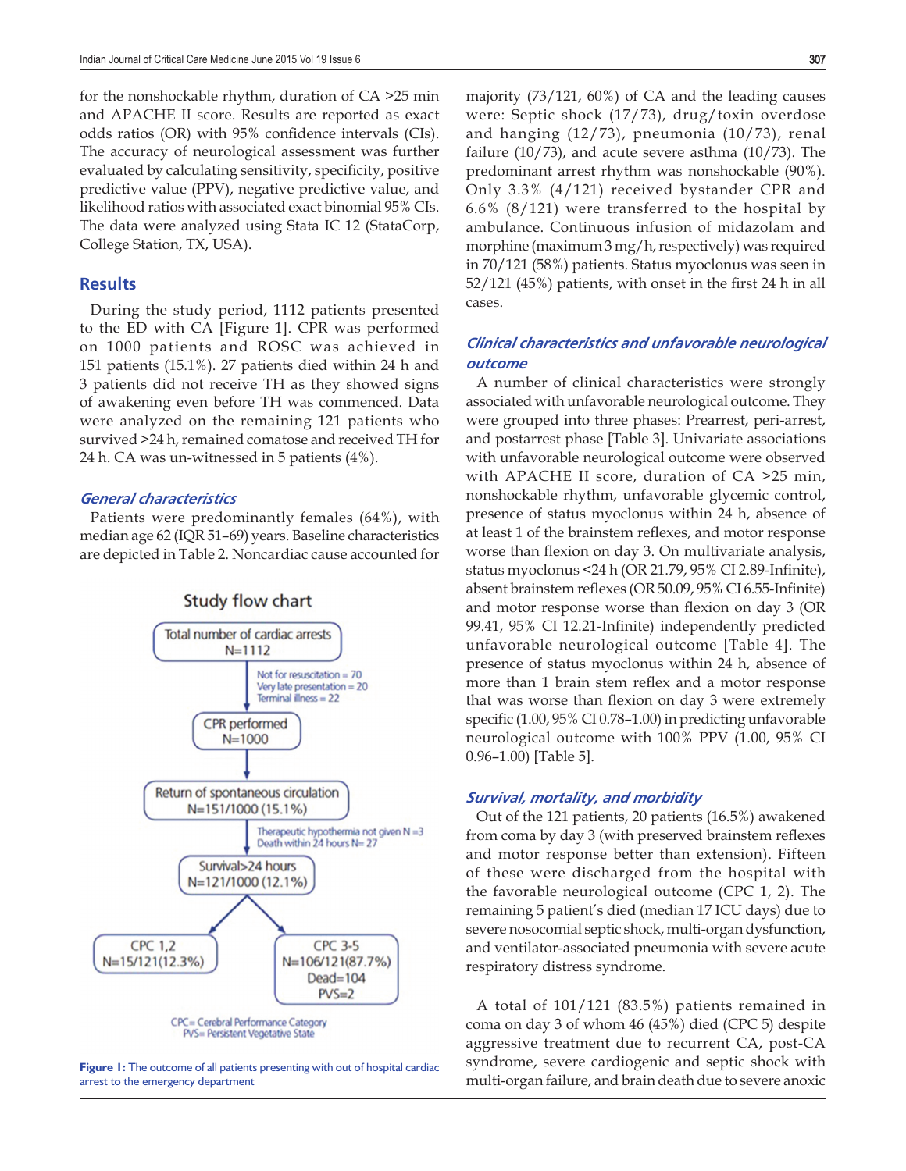for the nonshockable rhythm, duration of CA >25 min and APACHE II score. Results are reported as exact odds ratios (OR) with 95% confidence intervals (CIs). The accuracy of neurological assessment was further evaluated by calculating sensitivity, specificity, positive predictive value (PPV), negative predictive value, and likelihood ratios with associated exact binomial 95% CIs. The data were analyzed using Stata IC 12 (StataCorp, College Station, TX, USA).

## **Results**

During the study period, 1112 patients presented to the ED with CA [Figure 1]. CPR was performed on 1000 patients and ROSC was achieved in 151 patients (15.1%). 27 patients died within 24 h and 3 patients did not receive TH as they showed signs of awakening even before TH was commenced. Data were analyzed on the remaining 121 patients who survived >24 h, remained comatose and received TH for 24 h. CA was un-witnessed in 5 patients (4%).

#### *General characteristics*

Patients were predominantly females (64%), with median age 62 (IQR 51–69) years. Baseline characteristics are depicted in Table 2. Noncardiac cause accounted for



**Figure 1:** The outcome of all patients presenting with out of hospital cardiac arrest to the emergency department

majority (73/121, 60%) of CA and the leading causes were: Septic shock (17/73), drug/toxin overdose and hanging (12/73), pneumonia (10/73), renal failure (10/73), and acute severe asthma (10/73). The predominant arrest rhythm was nonshockable (90%). Only 3.3% (4/121) received bystander CPR and 6.6% (8/121) were transferred to the hospital by ambulance. Continuous infusion of midazolam and morphine (maximum 3 mg/h, respectively) was required in 70/121 (58%) patients. Status myoclonus was seen in  $52/121$  (45%) patients, with onset in the first 24 h in all cases.

# *Clinical characteristics and unfavorable neurological outcome*

A number of clinical characteristics were strongly associated with unfavorable neurological outcome. They were grouped into three phases: Prearrest, peri-arrest, and postarrest phase [Table 3]. Univariate associations with unfavorable neurological outcome were observed with APACHE II score, duration of CA >25 min, nonshockable rhythm, unfavorable glycemic control, presence of status myoclonus within 24 h, absence of at least 1 of the brainstem reflexes, and motor response worse than flexion on day 3. On multivariate analysis, status myoclonus <24 h (OR 21.79, 95% CI 2.89-Infinite), absent brainstem reflexes (OR 50.09, 95% CI 6.55-Infinite) and motor response worse than flexion on day 3 (OR 99.41, 95% CI 12.21-Infinite) independently predicted unfavorable neurological outcome [Table 4]. The presence of status myoclonus within 24 h, absence of more than 1 brain stem reflex and a motor response that was worse than flexion on day 3 were extremely specific  $(1.00, 95\% \text{ CI } 0.78-1.00)$  in predicting unfavorable neurological outcome with 100% PPV (1.00, 95% CI 0.96–1.00) [Table 5].

# *Survival, mortality, and morbidity*

Out of the 121 patients, 20 patients (16.5%) awakened from coma by day 3 (with preserved brainstem reflexes and motor response better than extension). Fifteen of these were discharged from the hospital with the favorable neurological outcome (CPC 1, 2). The remaining 5 patient's died (median 17 ICU days) due to severe nosocomial septic shock, multi-organ dysfunction, and ventilator-associated pneumonia with severe acute respiratory distress syndrome.

A total of 101/121 (83.5%) patients remained in coma on day 3 of whom 46 (45%) died (CPC 5) despite aggressive treatment due to recurrent CA, post-CA syndrome, severe cardiogenic and septic shock with multi-organ failure, and brain death due to severe anoxic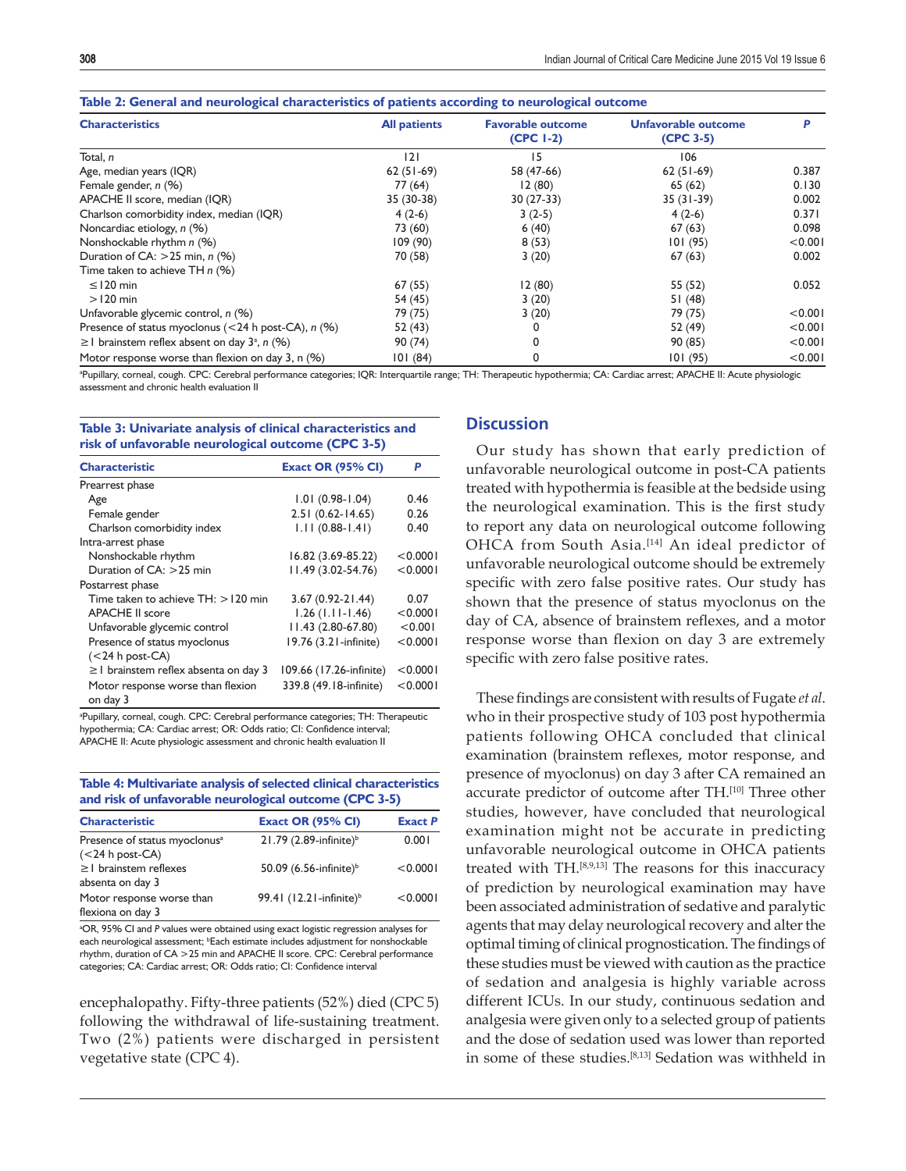| ັ                                                            |                     | ັ                                       |                                  |         |
|--------------------------------------------------------------|---------------------|-----------------------------------------|----------------------------------|---------|
| <b>Characteristics</b>                                       | <b>All patients</b> | <b>Favorable outcome</b><br>$(CPC 1-2)$ | Unfavorable outcome<br>(CPC 3-5) | P       |
| Total, n                                                     | 2                   | 15                                      | 106                              |         |
| Age, median years (IQR)                                      | $62(51-69)$         | 58 (47-66)                              | $62(51-69)$                      | 0.387   |
| Female gender, $n$ (%)                                       | 77 (64)             | 12(80)                                  | 65(62)                           | 0.130   |
| APACHE II score, median (IQR)                                | 35 (30-38)          | $30(27-33)$                             | $35(31-39)$                      | 0.002   |
| Charlson comorbidity index, median (IQR)                     | $4(2-6)$            | $3(2-5)$                                | $4(2-6)$                         | 0.371   |
| Noncardiac etiology, n (%)                                   | 73 (60)             | 6(40)                                   | 67(63)                           | 0.098   |
| Nonshockable rhythm n (%)                                    | 109(90)             | 8(53)                                   | 101(95)                          | < 0.001 |
| Duration of CA: $>$ 25 min, n (%)                            | 70 (58)             | 3(20)                                   | 67(63)                           | 0.002   |
| Time taken to achieve TH n (%)                               |                     |                                         |                                  |         |
| $\leq$ 120 min                                               | 67(55)              | 12(80)                                  | 55 (52)                          | 0.052   |
| $>120$ min                                                   | 54 (45)             | 3(20)                                   | 51(48)                           |         |
| Unfavorable glycemic control, n (%)                          | 79 (75)             | 3(20)                                   | 79 (75)                          | < 0.001 |
| Presence of status myoclonus ( $<$ 24 h post-CA), n (%)      | 52 (43)             | 0                                       | 52 (49)                          | < 0.001 |
| $\geq$ brainstem reflex absent on day 3 <sup>a</sup> , n (%) | 90(74)              | 0                                       | 90 (85)                          | < 0.001 |
| Motor response worse than flexion on day 3, n (%)            | 101(84)             | 0                                       | 101(95)                          | < 0.001 |

a Pupillary, corneal, cough. CPC: Cerebral performance categories; IQR: Interquartile range; TH: Therapeutic hypothermia; CA: Cardiac arrest; APACHE II: Acute physiologic assessment and chronic health evaluation II

#### **Table 3: Univariate analysis of clinical characteristics and risk of unfavorable neurological outcome (CPC 3-5)**

| <b>Characteristic</b>                         | <b>Exact OR (95% CI)</b> | P        |  |
|-----------------------------------------------|--------------------------|----------|--|
| Prearrest phase                               |                          |          |  |
| Age                                           | $1.01(0.98-1.04)$        | 0.46     |  |
| Female gender                                 | $2.51(0.62 - 14.65)$     | 0.26     |  |
| Charlson comorbidity index                    | $1.11(0.88-1.41)$        | 0.40     |  |
| Intra-arrest phase                            |                          |          |  |
| Nonshockable rhythm                           | 16.82 (3.69-85.22)       | < 0.0001 |  |
| Duration of $CA: >25$ min                     | 11.49 (3.02-54.76)       | < 0.0001 |  |
| Postarrest phase                              |                          |          |  |
| Time taken to achieve $TH: > 120$ min         | 3.67 (0.92-21.44)        | 0.07     |  |
| <b>APACHE II score</b>                        | $1.26$ (1.11-1.46)       | < 0.0001 |  |
| Unfavorable glycemic control                  | 11.43 (2.80-67.80)       | < 0.001  |  |
| Presence of status myoclonus                  | 19.76 (3.21-infinite)    | < 0.0001 |  |
| $(<$ 24 h post-CA)                            |                          |          |  |
| $\geq$ brainstem reflex absenta on day 3      | 109.66 (17.26-infinite)  | < 0.0001 |  |
| Motor response worse than flexion<br>on day 3 | 339.8 (49.18-infinite)   | < 0.0001 |  |

a Pupillary, corneal, cough. CPC: Cerebral performance categories; TH: Therapeutic hypothermia; CA: Cardiac arrest; OR: Odds ratio; CI: Confidence interval; APACHE II: Acute physiologic assessment and chronic health evaluation II

#### **Table 4: Multivariate analysis of selected clinical characteristics and risk of unfavorable neurological outcome (CPC 3-5)**

| <b>Characteristic</b>                     | <b>Exact OR (95% CI)</b>             | <b>Exact P</b> |
|-------------------------------------------|--------------------------------------|----------------|
| Presence of status myoclonus <sup>a</sup> | $21.79$ (2.89-infinite) <sup>b</sup> | 0.001          |
| $(<$ 24 h post-CA)                        |                                      |                |
| $\geq$   brainstem reflexes               | 50.09 (6.56-infinite) <sup>b</sup>   | < 0.0001       |
| absenta on day 3                          |                                      |                |
| Motor response worse than                 | 99.41 (12.21-infinite) <sup>b</sup>  | < 0.0001       |
| flexiona on day 3                         |                                      |                |

<sup>a</sup>OR, 95% CI and P values were obtained using exact logistic regression analyses for each neurological assessment; <sup>b</sup>Each estimate includes adjustment for nonshockable rhythm, duration of CA >25 min and APACHE II score. CPC: Cerebral performance categories; CA: Cardiac arrest; OR: Odds ratio; CI: Confidence interval

encephalopathy. Fifty-three patients (52%) died (CPC 5) following the withdrawal of life-sustaining treatment. Two (2%) patients were discharged in persistent vegetative state (CPC 4).

# **Discussion**

Our study has shown that early prediction of unfavorable neurological outcome in post-CA patients treated with hypothermia is feasible at the bedside using the neurological examination. This is the first study to report any data on neurological outcome following OHCA from South Asia.<sup>[14]</sup> An ideal predictor of unfavorable neurological outcome should be extremely specific with zero false positive rates. Our study has shown that the presence of status myoclonus on the day of CA, absence of brainstem reflexes, and a motor response worse than flexion on day 3 are extremely specific with zero false positive rates.

These findings are consistent with results of Fugate *et al*. who in their prospective study of 103 post hypothermia patients following OHCA concluded that clinical examination (brainstem reflexes, motor response, and presence of myoclonus) on day 3 after CA remained an accurate predictor of outcome after TH.[10] Three other studies, however, have concluded that neurological examination might not be accurate in predicting unfavorable neurological outcome in OHCA patients treated with TH.<sup>[8,9,13]</sup> The reasons for this inaccuracy of prediction by neurological examination may have been associated administration of sedative and paralytic agents that may delay neurological recovery and alter the optimal timing of clinical prognostication. The findings of these studies must be viewed with caution as the practice of sedation and analgesia is highly variable across different ICUs. In our study, continuous sedation and analgesia were given only to a selected group of patients and the dose of sedation used was lower than reported in some of these studies.[8,13] Sedation was withheld in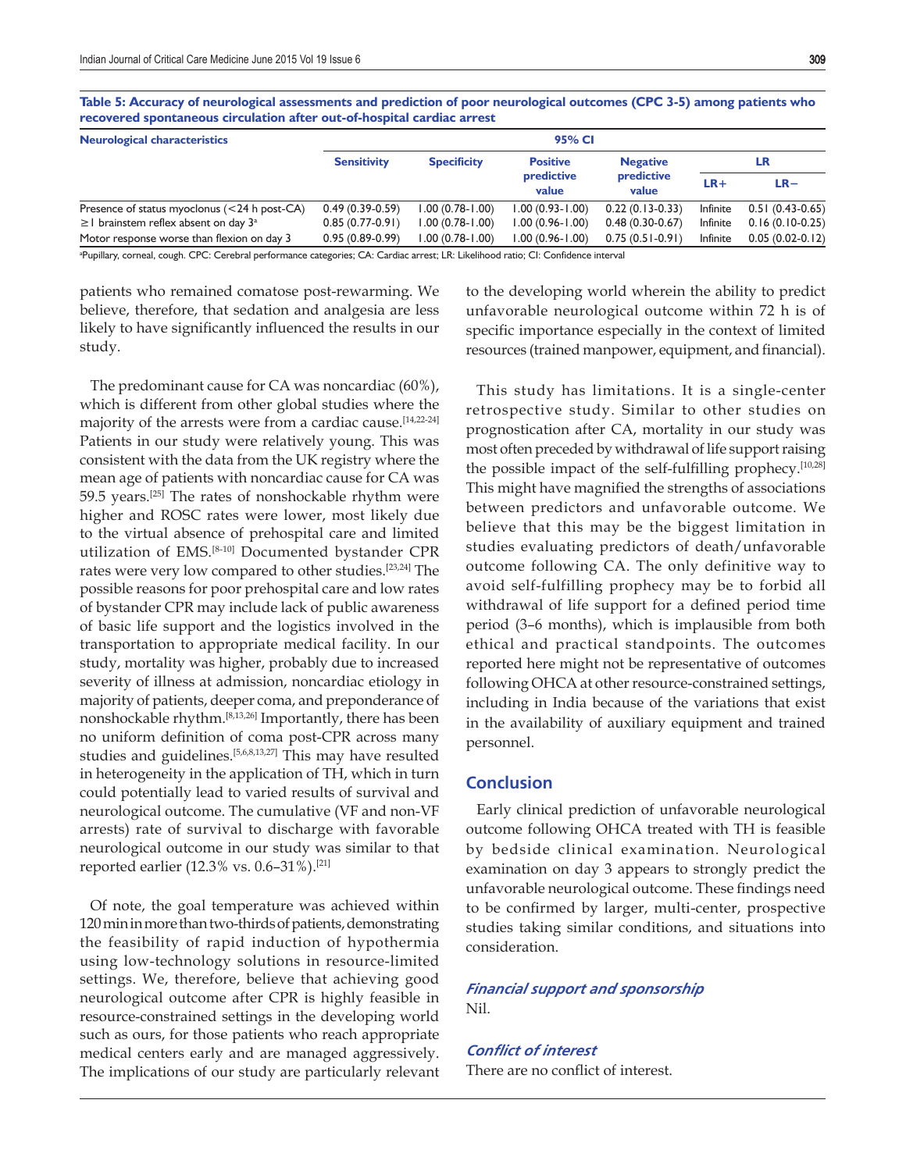**Table 5: Accuracy of neurological assessments and prediction of poor neurological outcomes (CPC 3-5) among patients who recovered spontaneous circulation after out-of-hospital cardiac arrest**

| <b>Neurological characteristics</b>                  | 95% CI                                   |                     |                     |                   |          |                   |
|------------------------------------------------------|------------------------------------------|---------------------|---------------------|-------------------|----------|-------------------|
|                                                      | <b>Sensitivity</b><br><b>Specificity</b> |                     | <b>Positive</b>     | <b>Negative</b>   | LR       |                   |
|                                                      |                                          | predictive<br>value | predictive<br>value | $LR+$             | $LR-$    |                   |
| Presence of status myoclonus $(<$ 24 h post-CA)      | $0.49(0.39-0.59)$                        | $1.00(0.78 - 1.00)$ | $1.00(0.93 - 1.00)$ | $0.22(0.13-0.33)$ | Infinite | $0.51(0.43-0.65)$ |
| $\geq$ brainstem reflex absent on day 3 <sup>a</sup> | $0.85(0.77-0.91)$                        | $1.00(0.78 - 1.00)$ | $1.00(0.96 - 1.00)$ | $0.48(0.30-0.67)$ | Infinite | $0.16(0.10-0.25)$ |
| Motor response worse than flexion on day 3           | $0.95(0.89-0.99)$                        | $1.00(0.78 - 1.00)$ | $1.00(0.96 - 1.00)$ | $0.75(0.51-0.91)$ | Infinite | $0.05(0.02-0.12)$ |
| -- -<br>$\sim$                                       | $\sim$ $\sim$ $\sim$ $\sim$              |                     |                     |                   |          |                   |

a Pupillary, corneal, cough. CPC: Cerebral performance categories; CA: Cardiac arrest; LR: Likelihood ratio; CI: Confidence interval

patients who remained comatose post-rewarming. We believe, therefore, that sedation and analgesia are less likely to have significantly influenced the results in our study.

The predominant cause for CA was noncardiac (60%), which is different from other global studies where the majority of the arrests were from a cardiac cause.[14,22-24] Patients in our study were relatively young. This was consistent with the data from the UK registry where the mean age of patients with noncardiac cause for CA was 59.5 years.[25] The rates of nonshockable rhythm were higher and ROSC rates were lower, most likely due to the virtual absence of prehospital care and limited utilization of EMS.[8-10] Documented bystander CPR rates were very low compared to other studies.[23,24] The possible reasons for poor prehospital care and low rates of bystander CPR may include lack of public awareness of basic life support and the logistics involved in the transportation to appropriate medical facility. In our study, mortality was higher, probably due to increased severity of illness at admission, noncardiac etiology in majority of patients, deeper coma, and preponderance of nonshockable rhythm.[8,13,26] Importantly, there has been no uniform definition of coma post-CPR across many studies and guidelines.[5,6,8,13,27] This may have resulted in heterogeneity in the application of TH, which in turn could potentially lead to varied results of survival and neurological outcome. The cumulative (VF and non-VF arrests) rate of survival to discharge with favorable neurological outcome in our study was similar to that reported earlier (12.3% vs. 0.6–31%).[21]

Of note, the goal temperature was achieved within 120 min in more than two-thirds of patients, demonstrating the feasibility of rapid induction of hypothermia using low-technology solutions in resource-limited settings. We, therefore, believe that achieving good neurological outcome after CPR is highly feasible in resource-constrained settings in the developing world such as ours, for those patients who reach appropriate medical centers early and are managed aggressively. The implications of our study are particularly relevant to the developing world wherein the ability to predict unfavorable neurological outcome within 72 h is of specific importance especially in the context of limited resources (trained manpower, equipment, and financial).

This study has limitations. It is a single-center retrospective study. Similar to other studies on prognostication after CA, mortality in our study was most often preceded by withdrawal of life support raising the possible impact of the self-fulfilling prophecy. $[10,28]$ This might have magnified the strengths of associations between predictors and unfavorable outcome. We believe that this may be the biggest limitation in studies evaluating predictors of death/unfavorable outcome following CA. The only definitive way to avoid self-fulfilling prophecy may be to forbid all withdrawal of life support for a defined period time period (3–6 months), which is implausible from both ethical and practical standpoints. The outcomes reported here might not be representative of outcomes following OHCA at other resource-constrained settings, including in India because of the variations that exist in the availability of auxiliary equipment and trained personnel.

#### **Conclusion**

Early clinical prediction of unfavorable neurological outcome following OHCA treated with TH is feasible by bedside clinical examination. Neurological examination on day 3 appears to strongly predict the unfavorable neurological outcome. These findings need to be confirmed by larger, multi-center, prospective studies taking similar conditions, and situations into consideration.

# *Financial support and sponsorship*  Nil.

*Confl ict of interest*

There are no conflict of interest.